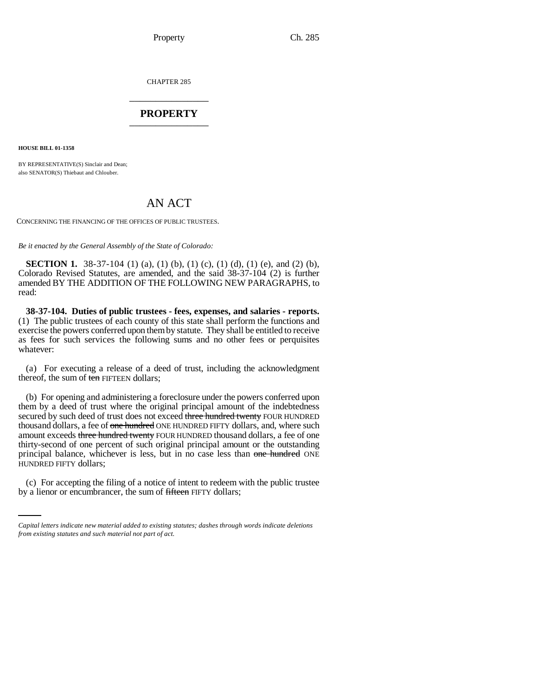Property Ch. 285

CHAPTER 285 \_\_\_\_\_\_\_\_\_\_\_\_\_\_\_

## **PROPERTY** \_\_\_\_\_\_\_\_\_\_\_\_\_\_\_

**HOUSE BILL 01-1358**

BY REPRESENTATIVE(S) Sinclair and Dean; also SENATOR(S) Thiebaut and Chlouber.

## AN ACT

CONCERNING THE FINANCING OF THE OFFICES OF PUBLIC TRUSTEES.

*Be it enacted by the General Assembly of the State of Colorado:*

**SECTION 1.** 38-37-104 (1) (a), (1) (b), (1) (c), (1) (d), (1) (e), and (2) (b), Colorado Revised Statutes, are amended, and the said 38-37-104 (2) is further amended BY THE ADDITION OF THE FOLLOWING NEW PARAGRAPHS, to read:

**38-37-104. Duties of public trustees - fees, expenses, and salaries - reports.** (1) The public trustees of each county of this state shall perform the functions and exercise the powers conferred upon them by statute. They shall be entitled to receive as fees for such services the following sums and no other fees or perquisites whatever:

(a) For executing a release of a deed of trust, including the acknowledgment thereof, the sum of ten FIFTEEN dollars;

HUNDRED FIFTY dollars; (b) For opening and administering a foreclosure under the powers conferred upon them by a deed of trust where the original principal amount of the indebtedness secured by such deed of trust does not exceed three hundred twenty FOUR HUNDRED thousand dollars, a fee of one hundred ONE HUNDRED FIFTY dollars, and, where such amount exceeds three hundred twenty FOUR HUNDRED thousand dollars, a fee of one thirty-second of one percent of such original principal amount or the outstanding principal balance, whichever is less, but in no case less than one hundred ONE

(c) For accepting the filing of a notice of intent to redeem with the public trustee by a lienor or encumbrancer, the sum of fifteen FIFTY dollars;

*Capital letters indicate new material added to existing statutes; dashes through words indicate deletions from existing statutes and such material not part of act.*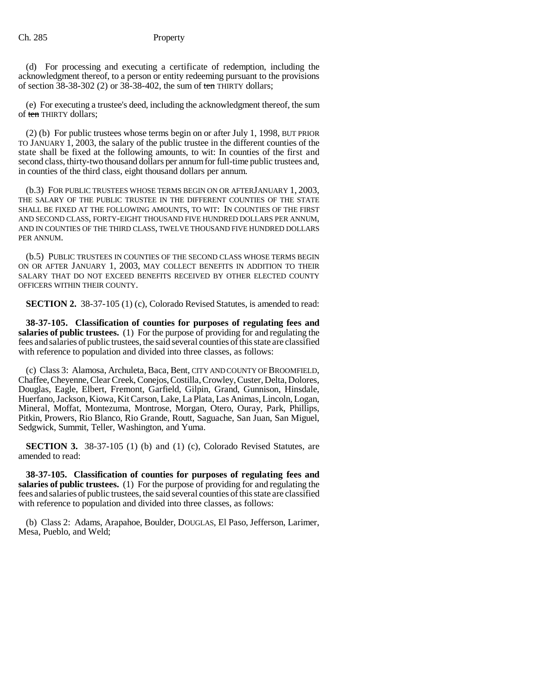(d) For processing and executing a certificate of redemption, including the acknowledgment thereof, to a person or entity redeeming pursuant to the provisions of section  $38-38-302$  (2) or  $38-38-402$ , the sum of ten THIRTY dollars;

(e) For executing a trustee's deed, including the acknowledgment thereof, the sum of ten THIRTY dollars;

(2) (b) For public trustees whose terms begin on or after July 1, 1998, BUT PRIOR TO JANUARY 1, 2003, the salary of the public trustee in the different counties of the state shall be fixed at the following amounts, to wit: In counties of the first and second class, thirty-two thousand dollars per annum for full-time public trustees and, in counties of the third class, eight thousand dollars per annum.

(b.3) FOR PUBLIC TRUSTEES WHOSE TERMS BEGIN ON OR AFTERJANUARY 1, 2003, THE SALARY OF THE PUBLIC TRUSTEE IN THE DIFFERENT COUNTIES OF THE STATE SHALL BE FIXED AT THE FOLLOWING AMOUNTS, TO WIT: IN COUNTIES OF THE FIRST AND SECOND CLASS, FORTY-EIGHT THOUSAND FIVE HUNDRED DOLLARS PER ANNUM, AND IN COUNTIES OF THE THIRD CLASS, TWELVE THOUSAND FIVE HUNDRED DOLLARS PER ANNUM.

(b.5) PUBLIC TRUSTEES IN COUNTIES OF THE SECOND CLASS WHOSE TERMS BEGIN ON OR AFTER JANUARY 1, 2003, MAY COLLECT BENEFITS IN ADDITION TO THEIR SALARY THAT DO NOT EXCEED BENEFITS RECEIVED BY OTHER ELECTED COUNTY OFFICERS WITHIN THEIR COUNTY.

**SECTION 2.** 38-37-105 (1) (c), Colorado Revised Statutes, is amended to read:

**38-37-105. Classification of counties for purposes of regulating fees and salaries of public trustees.** (1) For the purpose of providing for and regulating the fees and salaries of public trustees, the said several counties of this state are classified with reference to population and divided into three classes, as follows:

(c) Class 3: Alamosa, Archuleta, Baca, Bent, CITY AND COUNTY OF BROOMFIELD, Chaffee, Cheyenne, Clear Creek, Conejos, Costilla, Crowley, Custer, Delta, Dolores, Douglas, Eagle, Elbert, Fremont, Garfield, Gilpin, Grand, Gunnison, Hinsdale, Huerfano, Jackson, Kiowa, Kit Carson, Lake, La Plata, Las Animas, Lincoln, Logan, Mineral, Moffat, Montezuma, Montrose, Morgan, Otero, Ouray, Park, Phillips, Pitkin, Prowers, Rio Blanco, Rio Grande, Routt, Saguache, San Juan, San Miguel, Sedgwick, Summit, Teller, Washington, and Yuma.

**SECTION 3.** 38-37-105 (1) (b) and (1) (c), Colorado Revised Statutes, are amended to read:

**38-37-105. Classification of counties for purposes of regulating fees and salaries of public trustees.** (1) For the purpose of providing for and regulating the fees and salaries of public trustees, the said several counties of this state are classified with reference to population and divided into three classes, as follows:

(b) Class 2: Adams, Arapahoe, Boulder, DOUGLAS, El Paso, Jefferson, Larimer, Mesa, Pueblo, and Weld;